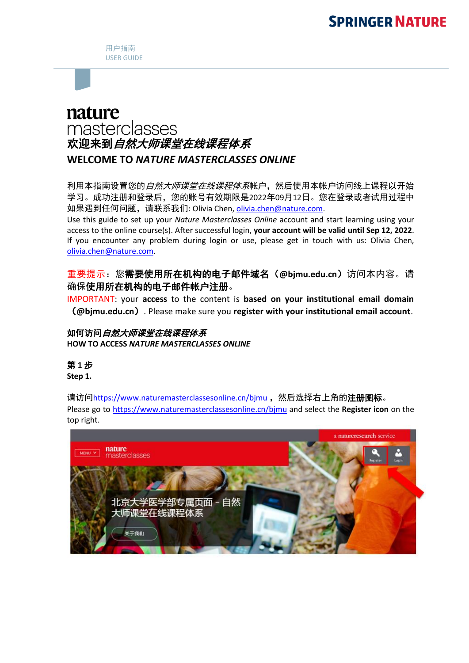用户指南 USER GUIDE

# nature masterclasses 欢迎来到自然大师课堂在线课程体系 **WELCOME TO** *NATURE MASTERCLASSES ONLINE*

利用本指南设置您的自然大师课堂在线课程体系帐户,然后使用本帐户访问线上课程以开始 学习。成功注册和登录后,您的账号有效期限是2022年09月12日。您在登录或者试用过程中 如果遇到任何问题,请联系我们: Olivia Chen, [olivia.chen@nature.com.](mailto:olivia.chen@nature.com)

Use this guide to set up your *Nature Masterclasses Online* account and start learning using your access to the online course(s). After successful login, **your account will be valid until Sep 12, 2022**. If you encounter any problem during login or use, please get in touch with us: Olivia Chen, [olivia.chen@nature.com.](mailto:olivia.chen@nature.com)

## 重要提示:您需要使用所在机构的电子邮件域名(**@bjmu.edu.cn**)访问本内容。请 确保使用所在机构的电子邮件帐户注册。

IMPORTANT: your **access** to the content is **based on your institutional email domain** (**@bjmu.edu.cn**). Please make sure you **register with your institutional email account**.

#### 如何访问自然大师课堂在线课程体系 **HOW TO ACCESS** *NATURE MASTERCLASSES ONLINE*

# 第 **1** 步

**Step 1.**

请访问<https://www.naturemasterclassesonline.cn/bjmu> ,然后选择右上角的**注册图标**。 Please go to<https://www.naturemasterclassesonline.cn/bjmu> and select the **Register icon** on the top right.

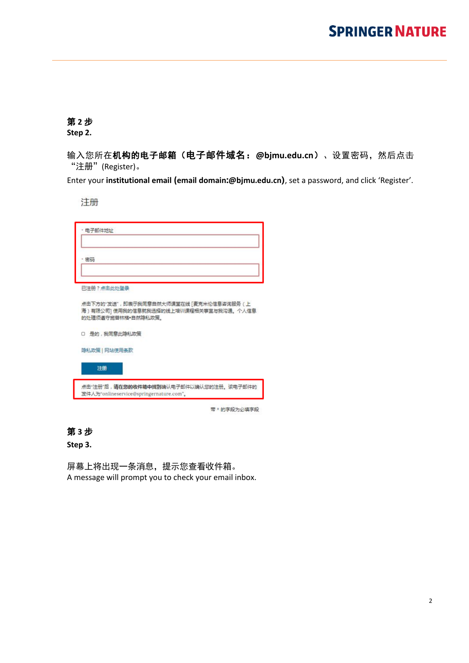## 第 **2** 步

**Step 2.**

输入您所在机构的电子邮箱(电子邮件域名:**@bjmu.edu.cn**)、设置密码,然后点击 "注册"(Register)。

Enter your **institutional email (email domain:@bjmu.edu.cn)**, set a password, and click 'Register'.

注册

| 点击下方的"发送",即表示我同意自然大师课堂在线 [麦克米伦信息咨询服务 ( 上<br>海 ) 有限公司] 使用我的信息就我选择的线上培训课程相关事宜与我沟通。个人信息 |
|--------------------------------------------------------------------------------------|
|                                                                                      |
|                                                                                      |
|                                                                                      |
|                                                                                      |

第 **3** 步

**Step 3.**

屏幕上将出现一条消息,提示您查看收件箱。 A message will prompt you to check your email inbox.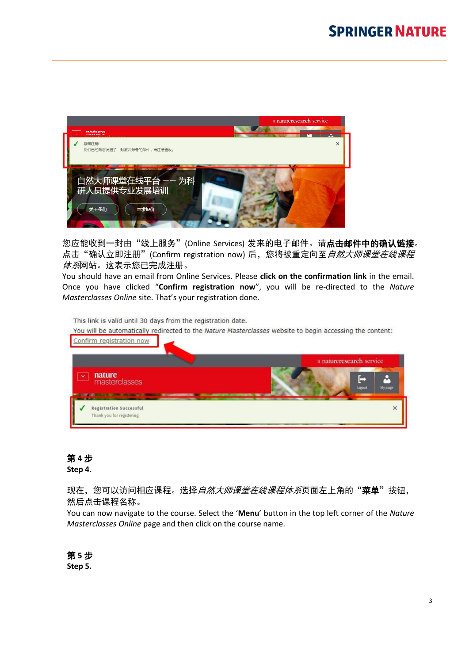

您应能收到一封由"线上服务"(Online Services) 发来的电子邮件。请**点击邮件中的确认链接**。 点击"确认立即注册"(Confirm registration now) 后,您将被重定向至*自然大师课堂在线课程 体系*网站。这表示您已完成注册。

You should have an email from Online Services. Please **click on the confirmation link** in the email. Once you have clicked "**Confirm registration now**", you will be re-directed to the *Nature Masterclasses Online* site. That's your registration done.

This link is valid until 30 days from the registration date.

|                                         | a natureresearch service |             |              |
|-----------------------------------------|--------------------------|-------------|--------------|
| nature<br>$\checkmark$<br>masterclasses |                          | ŀ<br>Logout | ٩<br>My page |

## 第 **4** 步

#### **Step 4.**

现在,您可以访问相应课程。选择*自然大师课堂在线课程体系*页面左上角的"**菜单**"按钮, 然后点击课程名称。

You can now navigate to the course. Select the '**Menu**' button in the top left corner of the *Nature Masterclasses Online* page and then click on the course name.

第 **5** 步 **Step 5.**